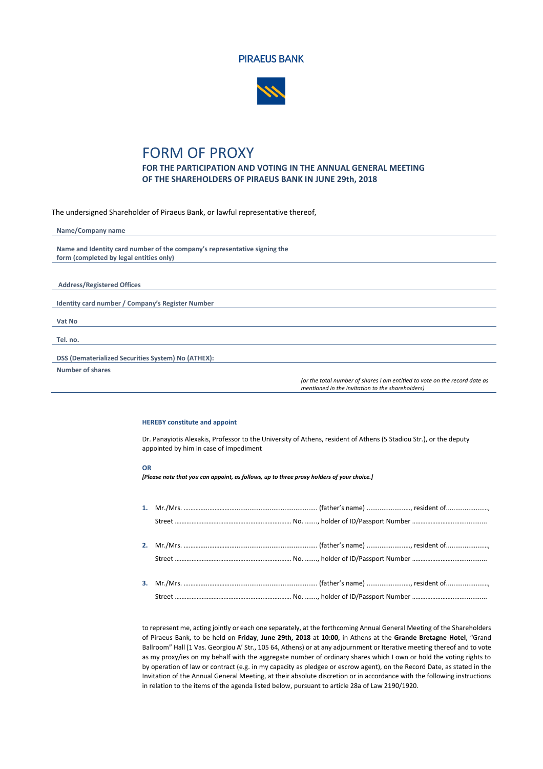



## FORM OF PROXY

**FOR THE PARTICIPATION AND VOTING IN THE ANNUAL GENERAL MEETING OF THE SHAREHOLDERS OF PIRAEUS BANK IN JUNE 29th, 2018**

The undersigned Shareholder of Piraeus Bank, or lawful representative thereof,

| Name/Company name                                                         |
|---------------------------------------------------------------------------|
|                                                                           |
| Name and Identity card number of the company's representative signing the |
| form (completed by legal entities only)                                   |
|                                                                           |
|                                                                           |
| <b>Address/Registered Offices</b>                                         |
|                                                                           |
| Identity card number / Company's Register Number                          |
|                                                                           |
| Vat No                                                                    |
|                                                                           |
| Tel. no.                                                                  |
|                                                                           |
| DSS (Dematerialized Securities System) No (ATHEX):                        |
| <b>Number of shares</b>                                                   |

*(or the total number of shares I am entitled to vote on the record date as mentioned in the invitation to the shareholders)*

## **HEREBY constitute and appoint**

Dr. Panayiotis Alexakis, Professor to the University of Athens, resident of Athens (5 Stadiou Str.), or the deputy appointed by him in case of impediment

## **OR**

*[Please note that you can appoint, as follows, up to three proxy holders of your choice.]*

to represent me, acting jointly or each one separately, at the forthcoming Annual General Meeting of the Shareholders of Piraeus Bank, to be held on **Friday**, **June 29th, 2018** at **10:00**, in Athens at the **Grande Bretagne Hotel**, "Grand Ballroom" Hall (1 Vas. Georgiou A' Str., 105 64, Athens) or at any adjournment or Iterative meeting thereof and to vote as my proxy/ies on my behalf with the aggregate number of ordinary shares which I own or hold the voting rights to by operation of law or contract (e.g. in my capacity as pledgee or escrow agent), on the Record Date, as stated in the Invitation of the Annual General Meeting, at their absolute discretion or in accordance with the following instructions in relation to the items of the agenda listed below, pursuant to article 28a of Law 2190/1920.